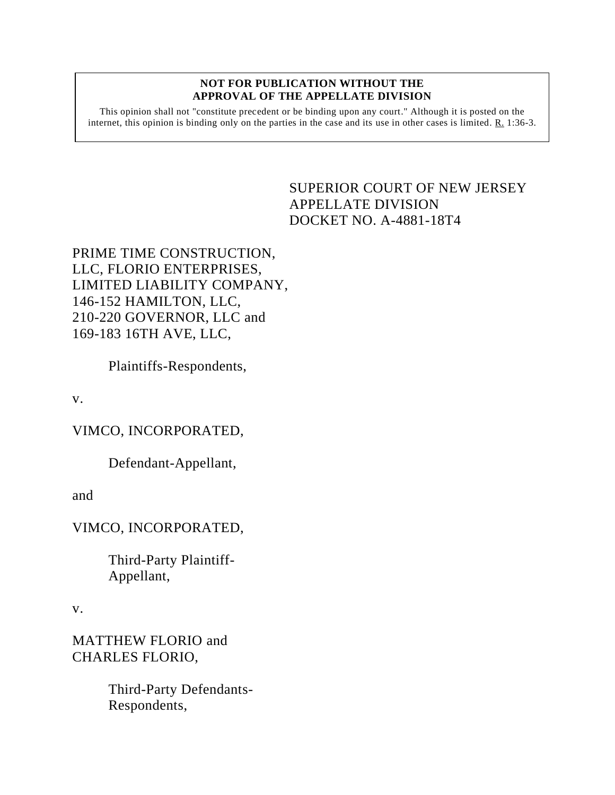#### **NOT FOR PUBLICATION WITHOUT THE APPROVAL OF THE APPELLATE DIVISION**

This opinion shall not "constitute precedent or be binding upon any court." Although it is posted on the internet, this opinion is binding only on the parties in the case and its use in other cases is limited. R. 1:36-3.

# <span id="page-0-0"></span>SUPERIOR COURT OF NEW JERSEY APPELLATE DIVISION DOCKET NO. A-4881-18T4

PRIME TIME CONSTRUCTION, LLC, FLORIO ENTERPRISES, LIMITED LIABILITY COMPANY, 146-152 HAMILTON, LLC, 210-220 GOVERNOR, LLC and 169-183 16TH AVE, LLC,

Plaintiffs-Respondents,

v.

VIMCO, INCORPORATED,

Defendant-Appellant,

and

VIMCO, INCORPORATED,

Third-Party Plaintiff-Appellant,

v.

MATTHEW FLORIO and CHARLES FLORIO,

> Third-Party Defendants-Respondents,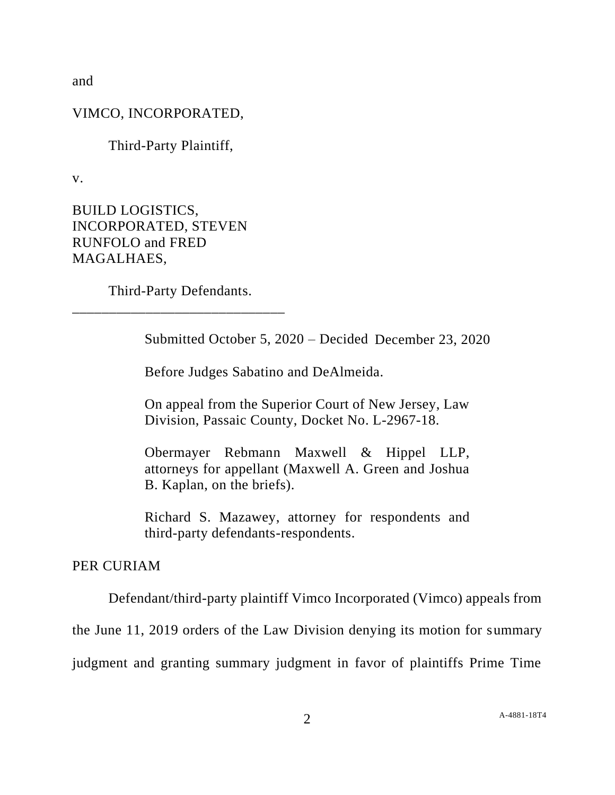and

## VIMCO, INCORPORATED,

Third-Party Plaintiff,

v.

BUILD LOGISTICS, INCORPORATED, STEVEN RUNFOLO and FRED MAGALHAES,

Third-Party Defendants. \_\_\_\_\_\_\_\_\_\_\_\_\_\_\_\_\_\_\_\_\_\_\_\_\_\_\_\_\_

Submitted October 5, 2020 – Decided December 23, 2020

Before Judges Sabatino and DeAlmeida.

On appeal from the Superior Court of New Jersey, Law Division, Passaic County, Docket No. L-2967-18.

Obermayer Rebmann Maxwell & Hippel LLP, attorneys for appellant (Maxwell A. Green and Joshua B. Kaplan, on the briefs).

Richard S. Mazawey, attorney for respondents and third-party defendants-respondents.

### PER CURIAM

Defendant/third-party plaintiff Vimco Incorporated (Vimco) appeals from

the June 11, 2019 orders of the Law Division denying its motion for summary

judgment and granting summary judgment in favor of plaintiffs Prime Time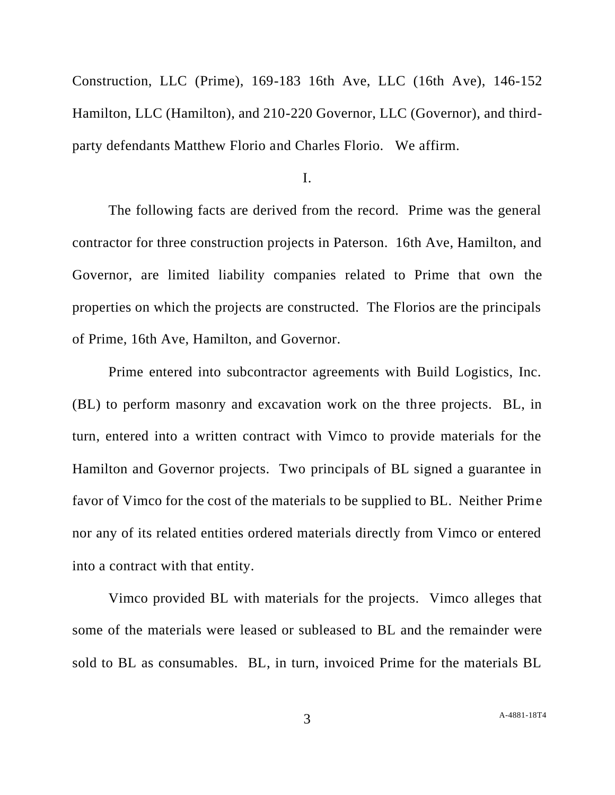Construction, LLC (Prime), 169-183 16th Ave, LLC (16th Ave), 146-152 Hamilton, LLC (Hamilton), and 210-220 Governor, LLC (Governor), and thirdparty defendants Matthew Florio and Charles Florio. We affirm.

I.

The following facts are derived from the record. Prime was the general contractor for three construction projects in Paterson. 16th Ave, Hamilton, and Governor, are limited liability companies related to Prime that own the properties on which the projects are constructed. The Florios are the principals of Prime, 16th Ave, Hamilton, and Governor.

Prime entered into subcontractor agreements with Build Logistics, Inc. (BL) to perform masonry and excavation work on the three projects. BL, in turn, entered into a written contract with Vimco to provide materials for the Hamilton and Governor projects. Two principals of BL signed a guarantee in favor of Vimco for the cost of the materials to be supplied to BL. Neither Prime nor any of its related entities ordered materials directly from Vimco or entered into a contract with that entity.

Vimco provided BL with materials for the projects. Vimco alleges that some of the materials were leased or subleased to BL and the remainder were sold to BL as consumables. BL, in turn, invoiced Prime for the materials BL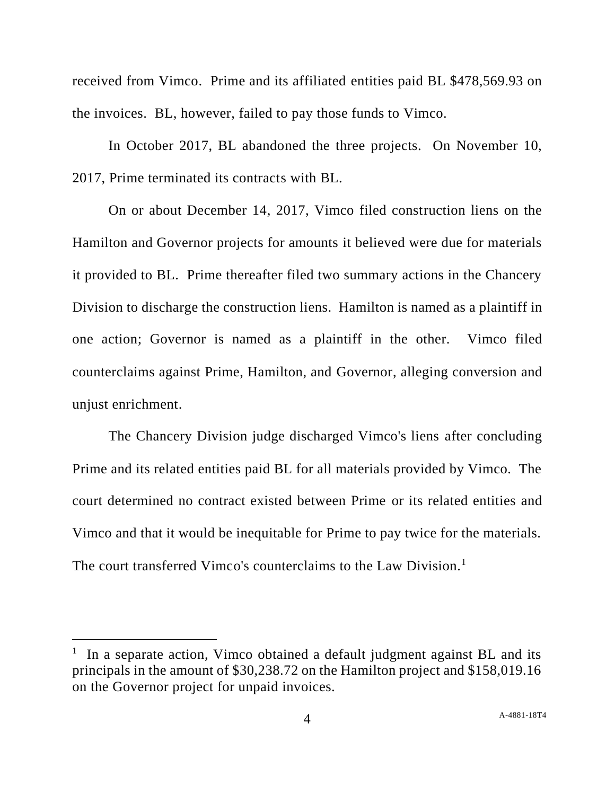received from Vimco. Prime and its affiliated entities paid BL \$478,569.93 on the invoices. BL, however, failed to pay those funds to Vimco.

In October 2017, BL abandoned the three projects. On November 10, 2017, Prime terminated its contracts with BL.

On or about December 14, 2017, Vimco filed construction liens on the Hamilton and Governor projects for amounts it believed were due for materials it provided to BL. Prime thereafter filed two summary actions in the Chancery Division to discharge the construction liens. Hamilton is named as a plaintiff in one action; Governor is named as a plaintiff in the other. Vimco filed counterclaims against Prime, Hamilton, and Governor, alleging conversion and unjust enrichment.

The Chancery Division judge discharged Vimco's liens after concluding Prime and its related entities paid BL for all materials provided by Vimco. The court determined no contract existed between Prime or its related entities and Vimco and that it would be inequitable for Prime to pay twice for the materials. The court transferred Vimco's counterclaims to the Law Division.<sup>1</sup>

<sup>&</sup>lt;sup>1</sup> In a separate action, Vimco obtained a default judgment against BL and its principals in the amount of \$30,238.72 on the Hamilton project and \$158,019.16 on the Governor project for unpaid invoices.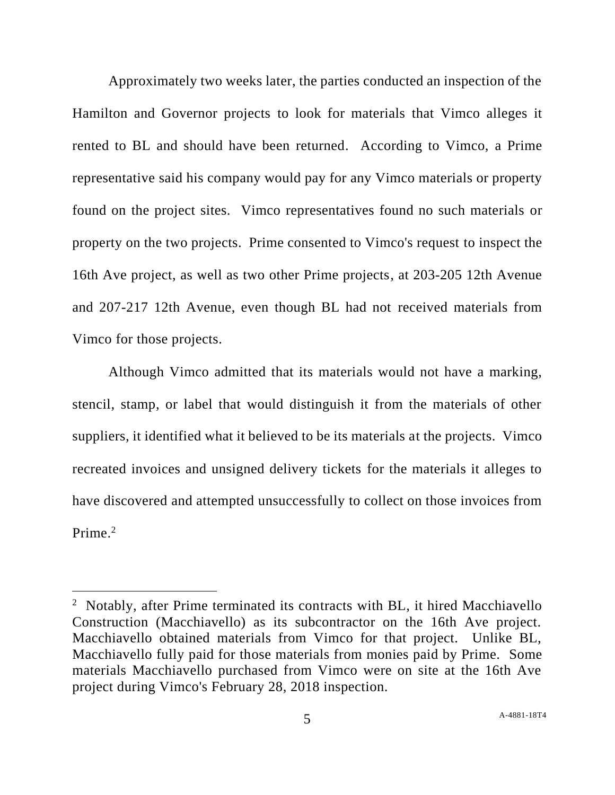Approximately two weeks later, the parties conducted an inspection of the Hamilton and Governor projects to look for materials that Vimco alleges it rented to BL and should have been returned. According to Vimco, a Prime representative said his company would pay for any Vimco materials or property found on the project sites. Vimco representatives found no such materials or property on the two projects. Prime consented to Vimco's request to inspect the 16th Ave project, as well as two other Prime projects, at 203-205 12th Avenue and 207-217 12th Avenue, even though BL had not received materials from Vimco for those projects.

Although Vimco admitted that its materials would not have a marking, stencil, stamp, or label that would distinguish it from the materials of other suppliers, it identified what it believed to be its materials at the projects. Vimco recreated invoices and unsigned delivery tickets for the materials it alleges to have discovered and attempted unsuccessfully to collect on those invoices from Prime.<sup>2</sup>

<sup>&</sup>lt;sup>2</sup> Notably, after Prime terminated its contracts with BL, it hired Macchiavello Construction (Macchiavello) as its subcontractor on the 16th Ave project. Macchiavello obtained materials from Vimco for that project. Unlike BL, Macchiavello fully paid for those materials from monies paid by Prime. Some materials Macchiavello purchased from Vimco were on site at the 16th Ave project during Vimco's February 28, 2018 inspection.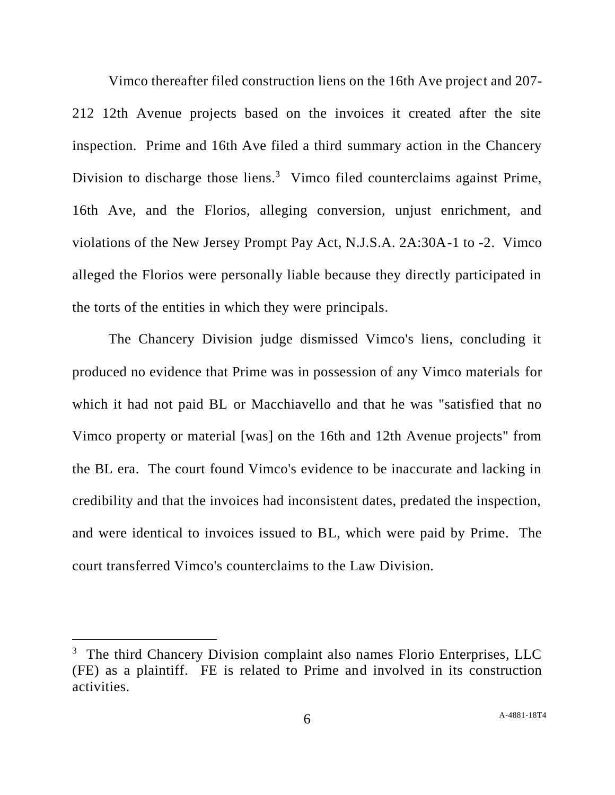Vimco thereafter filed construction liens on the 16th Ave project and 207- 212 12th Avenue projects based on the invoices it created after the site inspection. Prime and 16th Ave filed a third summary action in the Chancery Division to discharge those liens.<sup>3</sup> Vimco filed counterclaims against Prime, 16th Ave, and the Florios, alleging conversion, unjust enrichment, and violations of the New Jersey Prompt Pay Act, N.J.S.A. 2A:30A-1 to -2. Vimco alleged the Florios were personally liable because they directly participated in the torts of the entities in which they were principals.

The Chancery Division judge dismissed Vimco's liens, concluding it produced no evidence that Prime was in possession of any Vimco materials for which it had not paid BL or Macchiavello and that he was "satisfied that no Vimco property or material [was] on the 16th and 12th Avenue projects" from the BL era. The court found Vimco's evidence to be inaccurate and lacking in credibility and that the invoices had inconsistent dates, predated the inspection, and were identical to invoices issued to BL, which were paid by Prime. The court transferred Vimco's counterclaims to the Law Division.

<sup>&</sup>lt;sup>3</sup> The third Chancery Division complaint also names Florio Enterprises, LLC (FE) as a plaintiff. FE is related to Prime and involved in its construction activities.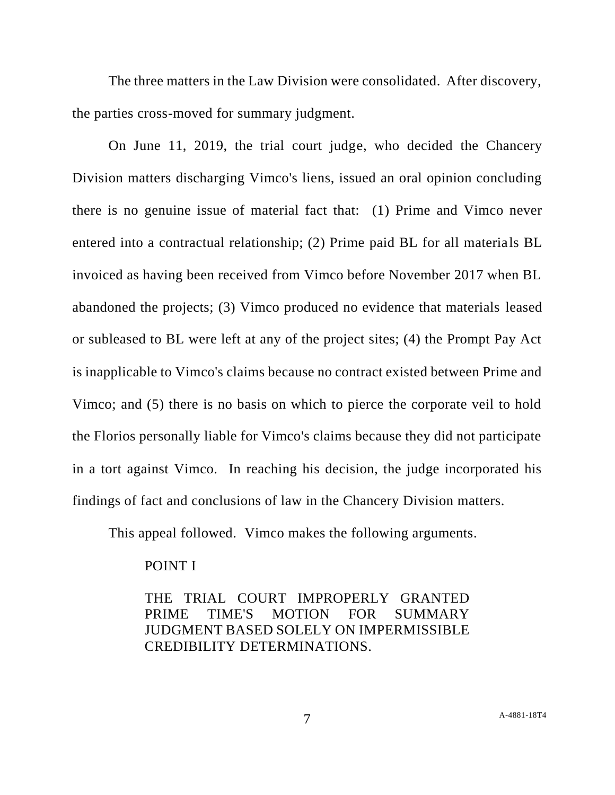The three matters in the Law Division were consolidated. After discovery, the parties cross-moved for summary judgment.

On June 11, 2019, the trial court judge, who decided the Chancery Division matters discharging Vimco's liens, issued an oral opinion concluding there is no genuine issue of material fact that: (1) Prime and Vimco never entered into a contractual relationship; (2) Prime paid BL for all materials BL invoiced as having been received from Vimco before November 2017 when BL abandoned the projects; (3) Vimco produced no evidence that materials leased or subleased to BL were left at any of the project sites; (4) the Prompt Pay Act is inapplicable to Vimco's claims because no contract existed between Prime and Vimco; and (5) there is no basis on which to pierce the corporate veil to hold the Florios personally liable for Vimco's claims because they did not participate in a tort against Vimco. In reaching his decision, the judge incorporated his findings of fact and conclusions of law in the Chancery Division matters.

This appeal followed. Vimco makes the following arguments.

### POINT I

THE TRIAL COURT IMPROPERLY GRANTED PRIME TIME'S MOTION FOR SUMMARY JUDGMENT BASED SOLELY ON IMPERMISSIBLE CREDIBILITY DETERMINATIONS.

7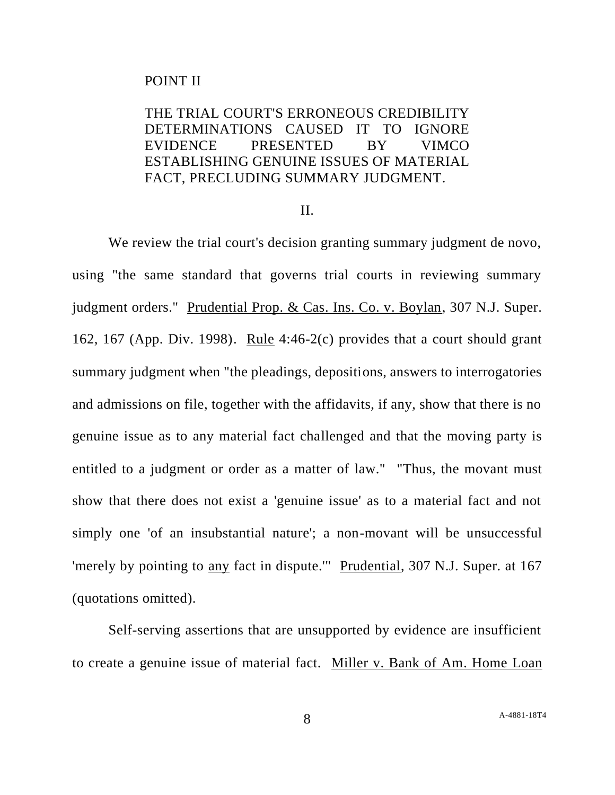#### POINT II

# THE TRIAL COURT'S ERRONEOUS CREDIBILITY DETERMINATIONS CAUSED IT TO IGNORE EVIDENCE PRESENTED BY VIMCO ESTABLISHING GENUINE ISSUES OF MATERIAL FACT, PRECLUDING SUMMARY JUDGMENT.

#### II.

We review the trial court's decision granting summary judgment de novo, using "the same standard that governs trial courts in reviewing summary judgment orders." Prudential Prop. & Cas. Ins. Co. v. Boylan, 307 N.J. Super. 162, 167 (App. Div. 1998). Rule 4:46-2(c) provides that a court should grant summary judgment when "the pleadings, depositions, answers to interrogatories and admissions on file, together with the affidavits, if any, show that there is no genuine issue as to any material fact challenged and that the moving party is entitled to a judgment or order as a matter of law." "Thus, the movant must show that there does not exist a 'genuine issue' as to a material fact and not simply one 'of an insubstantial nature'; a non-movant will be unsuccessful 'merely by pointing to any fact in dispute.'" Prudential, 307 N.J. Super. at 167 (quotations omitted).

Self-serving assertions that are unsupported by evidence are insufficient to create a genuine issue of material fact. Miller v. Bank of Am. Home Loan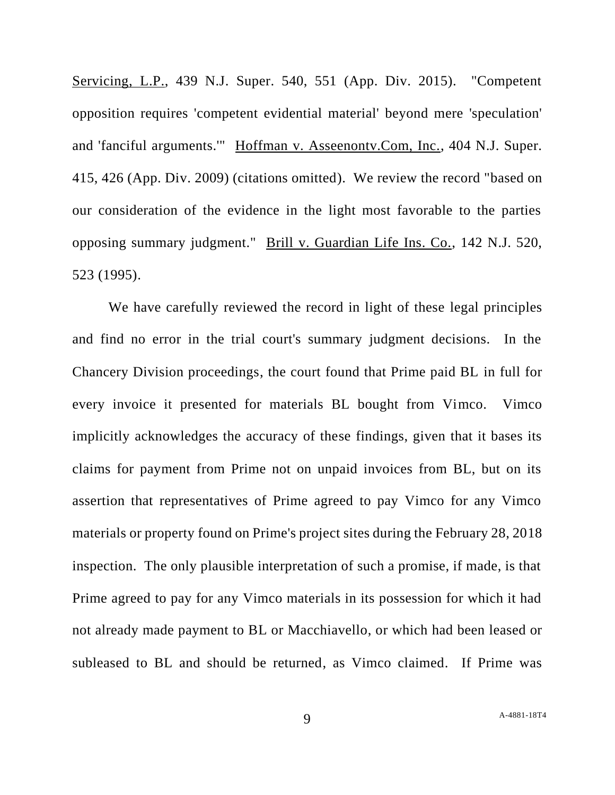Servicing, L.P., 439 N.J. Super. 540, 551 (App. Div. 2015). "Competent opposition requires 'competent evidential material' beyond mere 'speculation' and 'fanciful arguments.'" Hoffman v. Asseenontv.Com, Inc., 404 N.J. Super. 415, 426 (App. Div. 2009) (citations omitted). We review the record "based on our consideration of the evidence in the light most favorable to the parties opposing summary judgment." Brill v. Guardian Life Ins. Co., 142 N.J. 520, 523 (1995).

We have carefully reviewed the record in light of these legal principles and find no error in the trial court's summary judgment decisions. In the Chancery Division proceedings, the court found that Prime paid BL in full for every invoice it presented for materials BL bought from Vimco. Vimco implicitly acknowledges the accuracy of these findings, given that it bases its claims for payment from Prime not on unpaid invoices from BL, but on its assertion that representatives of Prime agreed to pay Vimco for any Vimco materials or property found on Prime's project sites during the February 28, 2018 inspection. The only plausible interpretation of such a promise, if made, is that Prime agreed to pay for any Vimco materials in its possession for which it had not already made payment to BL or Macchiavello, or which had been leased or subleased to BL and should be returned, as Vimco claimed. If Prime was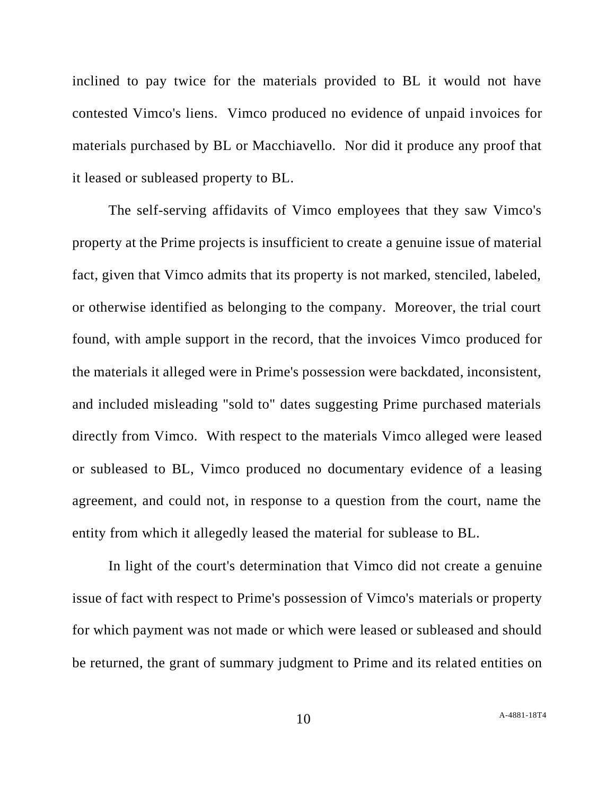inclined to pay twice for the materials provided to BL it would not have contested Vimco's liens. Vimco produced no evidence of unpaid invoices for materials purchased by BL or Macchiavello. Nor did it produce any proof that it leased or subleased property to BL.

The self-serving affidavits of Vimco employees that they saw Vimco's property at the Prime projects is insufficient to create a genuine issue of material fact, given that Vimco admits that its property is not marked, stenciled, labeled, or otherwise identified as belonging to the company. Moreover, the trial court found, with ample support in the record, that the invoices Vimco produced for the materials it alleged were in Prime's possession were backdated, inconsistent, and included misleading "sold to" dates suggesting Prime purchased materials directly from Vimco. With respect to the materials Vimco alleged were leased or subleased to BL, Vimco produced no documentary evidence of a leasing agreement, and could not, in response to a question from the court, name the entity from which it allegedly leased the material for sublease to BL.

In light of the court's determination that Vimco did not create a genuine issue of fact with respect to Prime's possession of Vimco's materials or property for which payment was not made or which were leased or subleased and should be returned, the grant of summary judgment to Prime and its related entities on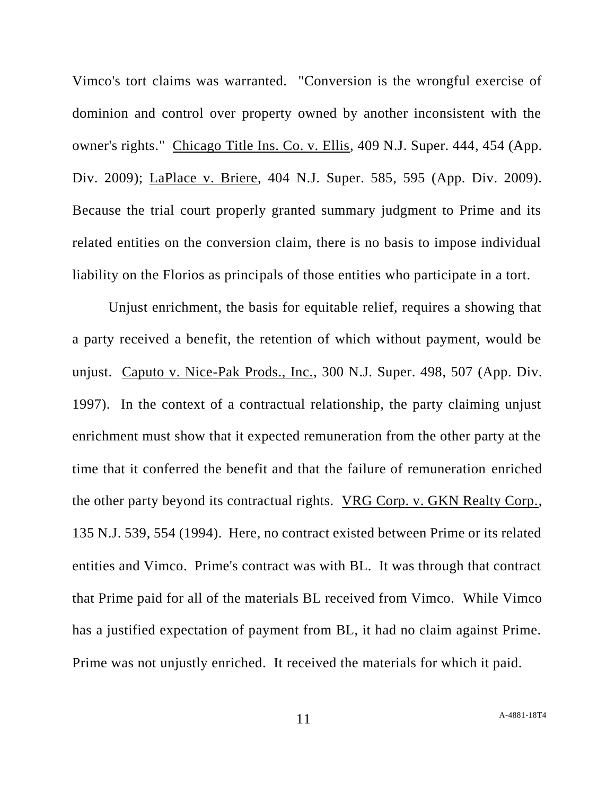Vimco's tort claims was warranted. "Conversion is the wrongful exercise of dominion and control over property owned by another inconsistent with the owner's rights." Chicago Title Ins. Co. v. Ellis, 409 N.J. Super. 444, 454 (App. Div. 2009); LaPlace v. Briere, 404 N.J. Super. 585, 595 (App. Div. 2009). Because the trial court properly granted summary judgment to Prime and its related entities on the conversion claim, there is no basis to impose individual liability on the Florios as principals of those entities who participate in a tort.

Unjust enrichment, the basis for equitable relief, requires a showing that a party received a benefit, the retention of which without payment, would be unjust. Caputo v. Nice-Pak Prods., Inc., 300 N.J. Super. 498, 507 (App. Div. 1997). In the context of a contractual relationship, the party claiming unjust enrichment must show that it expected remuneration from the other party at the time that it conferred the benefit and that the failure of remuneration enriched the other party beyond its contractual rights. VRG Corp. v. GKN Realty Corp., 135 N.J. 539, 554 (1994). Here, no contract existed between Prime or its related entities and Vimco. Prime's contract was with BL. It was through that contract that Prime paid for all of the materials BL received from Vimco. While Vimco has a justified expectation of payment from BL, it had no claim against Prime. Prime was not unjustly enriched. It received the materials for which it paid.